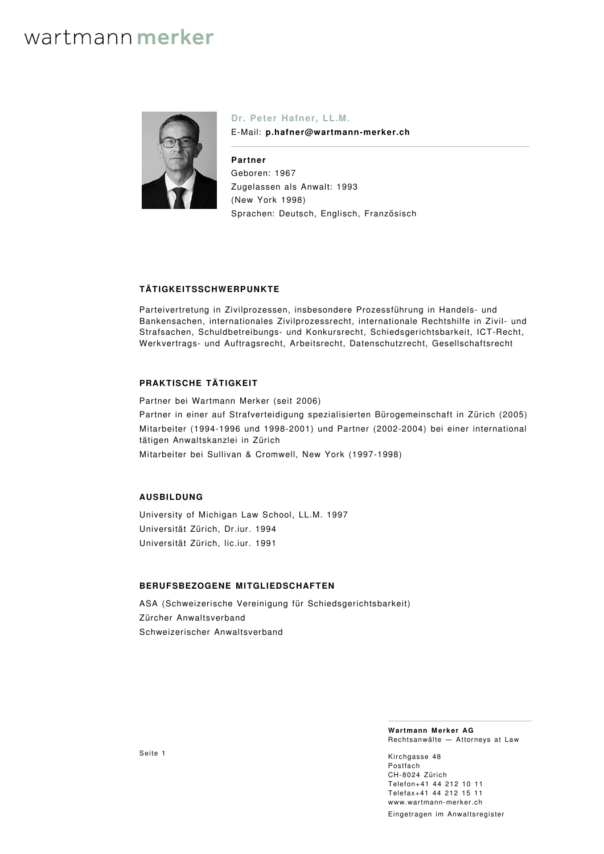# wartmann merker



**Dr. Peter Hafner, LL.M.** E-Mail: **p.hafner@wartmann-merker.ch**

**Partner** Geboren: 1967 Zugelassen als Anwalt: 1993 (New York 1998) Sprachen: Deutsch, Englisch, Französisch

## **TÄTIGKEITSSCHWERPUNKTE**

Parteivertretung in Zivilprozessen, insbesondere Prozessführung in Handels- und Bankensachen, internationales Zivilprozessrecht, internationale Rechtshilfe in Zivil- und Strafsachen, Schuldbetreibungs- und Konkursrecht, Schiedsgerichtsbarkeit, ICT-Recht, Werkvertrags- und Auftragsrecht, Arbeitsrecht, Datenschutzrecht, Gesellschaftsrecht

### **PRAKTISCHE TÄTIGKEIT**

Partner bei Wartmann Merker (seit 2006)

Partner in einer auf Strafverteidigung spezialisierten Bürogemeinschaft in Zürich (2005) Mitarbeiter (1994-1996 und 1998-2001) und Partner (2002-2004) bei einer international tätigen Anwaltskanzlei in Zürich

Mitarbeiter bei Sullivan & Cromwell, New York (1997-1998)

## **AUSBILDUNG**

University of Michigan Law School, LL.M. 1997 Universität Zürich, Dr.iur. 1994 Universität Zürich, lic.iur. 1991

### **BERUFSBEZOGENE MITGLIEDSCHAFTEN**

ASA (Schweizerische Vereinigung für Schiedsgerichtsbarkeit) Zürcher Anwaltsverband Schweizerischer Anwaltsverband

> **Wartmann Merker AG** Rechtsanwälte — Attorneys at Law

Kirchgasse 48 Postfach CH‑8024 Zürich Telefon+41 44 212 10 11 Telefax+41 44 212 15 11 [www.wartmann-merker.ch](https://www.wartmann-merker.ch) Eingetragen im Anwaltsregister

Seite 1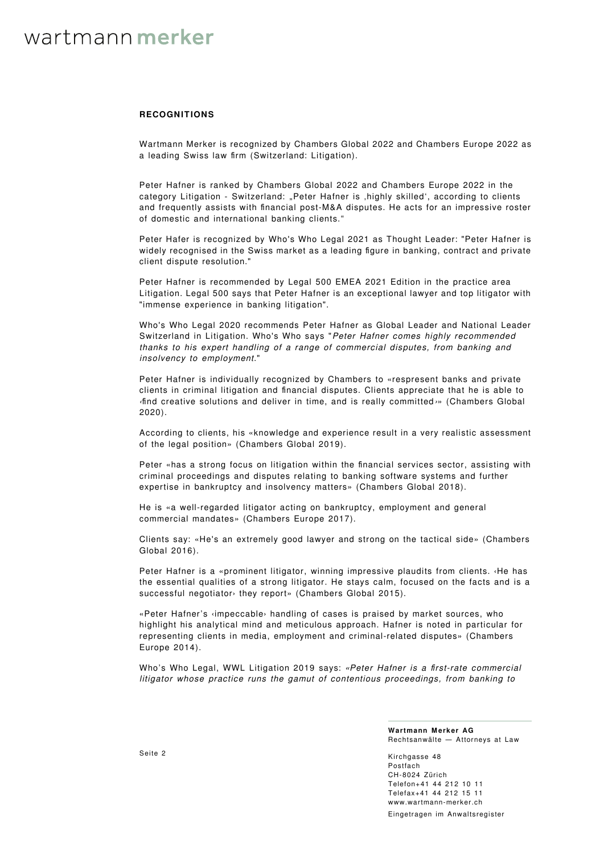## wartmann merker

#### **RECOGNITIONS**

Wartmann Merker is recognized by [Chambers Global 2022](https://chambers.com/law-firm/wartmann-merker-global-2:201034) and [Chambers Europe 2022](https://chambers.com/law-firm/wartmann-merker-europe-7:201034) as a leading Swiss law firm (Switzerland: Litigation).

Peter Hafner is ranked by Chambers Global 2022 and Chambers Europe 2022 in the category Litigation - Switzerland: "Peter Hafner is , highly skilled', according to clients and frequently assists with financial post-M&A disputes. He acts for an impressive roster of domestic and international banking clients."

Peter Hafer is recognized by [Who's Who Legal 2021](https://whoswholegal.com/peter-hafner) as Thought Leader: "Peter Hafner is widely recognised in the Swiss market as a leading figure in banking, contract and private client dispute resolution."

Peter Hafner is recommended by Legal 500 EMEA 2021 Edition in the practice area Litigation. Legal 500 says that Peter Hafner is an exceptional lawyer and top litigator with "immense experience in banking litigation".

Who's Who Legal 2020 recommends Peter Hafner as Global Leader and National Leader Switzerland in Litigation. Who's Who says "Peter Hafner comes highly recommended thanks to his expert handling of a range of commercial disputes, from banking and insolvency to employment."

Peter Hafner is individually recognized by Chambers to «respresent banks and private clients in criminal litigation and financial disputes. Clients appreciate that he is able to ‹find creative solutions and deliver in time, and is really committed ›» (Chambers Global 2020).

According to clients, his «knowledge and experience result in a very realistic assessment of the legal position» (Chambers Global 2019).

Peter «has a strong focus on litigation within the financial services sector, assisting with criminal proceedings and disputes relating to banking software systems and further expertise in bankruptcy and insolvency matters» (Chambers Global 2018).

He is «a well-regarded litigator acting on bankruptcy, employment and general commercial mandates» (Chambers Europe 2017).

Clients say: «He's an extremely good lawyer and strong on the tactical side» (Chambers Global 2016).

Peter Hafner is a «prominent litigator, winning impressive plaudits from clients. ‹He has the essential qualities of a strong litigator. He stays calm, focused on the facts and is a successful negotiator› they report» (Chambers Global 2015).

«Peter Hafner's ‹impeccable› handling of cases is praised by market sources, who highlight his analytical mind and meticulous approach. Hafner is noted in particular for representing clients in media, employment and criminal-related disputes» (Chambers Europe 2014).

[Who's Who Legal, WWL Litigation 2019](http://whoswholegal.com/profiles/68926/0/hafner/peter-hafner/) says: «Peter Hafner is a first-rate commercial litigator whose practice runs the gamut of contentious proceedings, from banking to

> **Wartmann Merker AG** Rechtsanwälte — Attorneys at Law

Kirchgasse 48 Postfach CH‑8024 Zürich Telefon+41 44 212 10 11 Telefax+41 44 212 15 11 [www.wartmann-merker.ch](https://www.wartmann-merker.ch) Eingetragen im Anwaltsregister

Seite 2